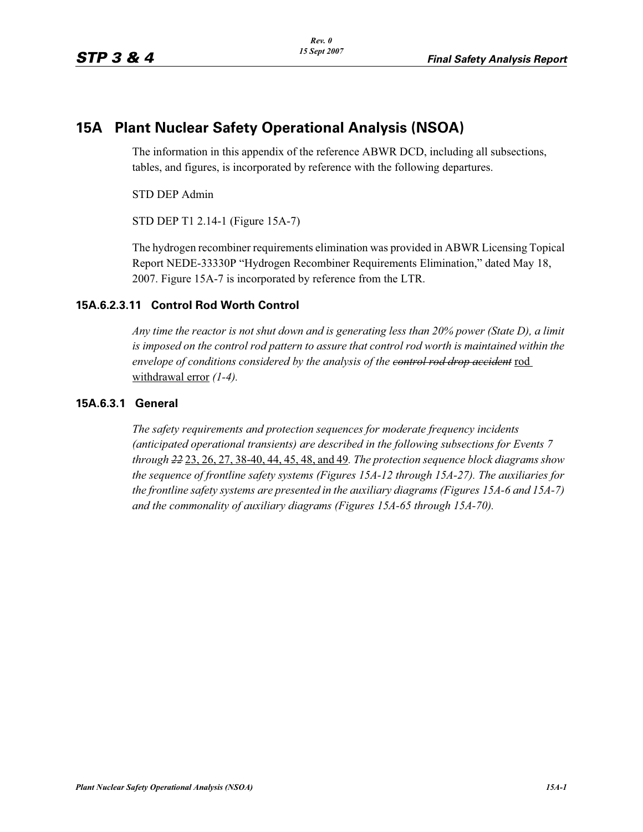## **15A Plant Nuclear Safety Operational Analysis (NSOA)**

The information in this appendix of the reference ABWR DCD, including all subsections, tables, and figures, is incorporated by reference with the following departures.

STD DEP Admin

STD DEP T1 2.14-1 (Figure 15A-7)

The hydrogen recombiner requirements elimination was provided in ABWR Licensing Topical Report NEDE-33330P "Hydrogen Recombiner Requirements Elimination," dated May 18, 2007. Figure 15A-7 is incorporated by reference from the LTR.

## **15A.6.2.3.11 Control Rod Worth Control**

*Any time the reactor is not shut down and is generating less than 20% power (State D), a limit*  is imposed on the control rod pattern to assure that control rod worth is maintained within the *envelope of conditions considered by the analysis of the control rod drop accident* rod withdrawal error *(1-4).*

## **15A.6.3.1 General**

*The safety requirements and protection sequences for moderate frequency incidents (anticipated operational transients) are described in the following subsections for Events 7 through 22* 23, 26, 27, 38-40, 44, 45, 48, and 49*. The protection sequence block diagrams show the sequence of frontline safety systems (Figures 15A-12 through 15A-27). The auxiliaries for the frontline safety systems are presented in the auxiliary diagrams (Figures 15A-6 and 15A-7) and the commonality of auxiliary diagrams (Figures 15A-65 through 15A-70).*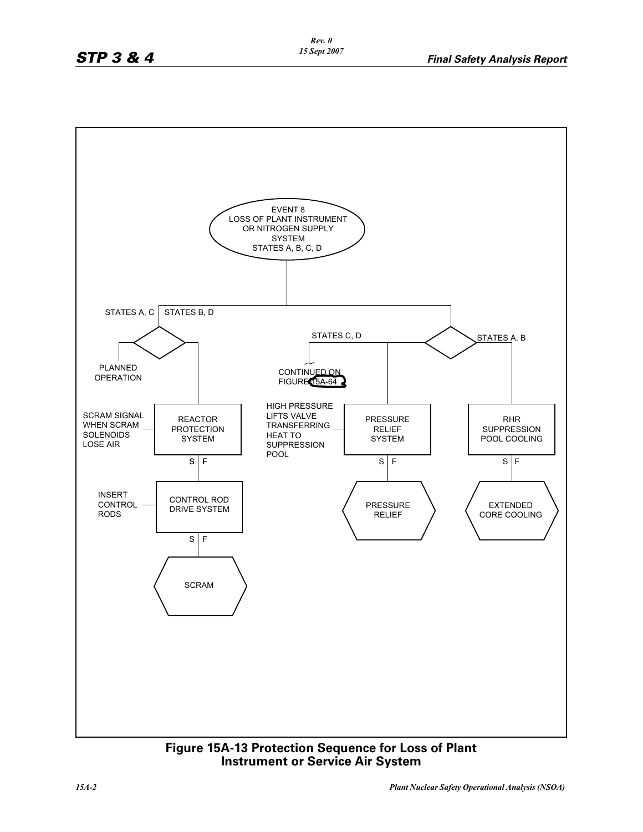

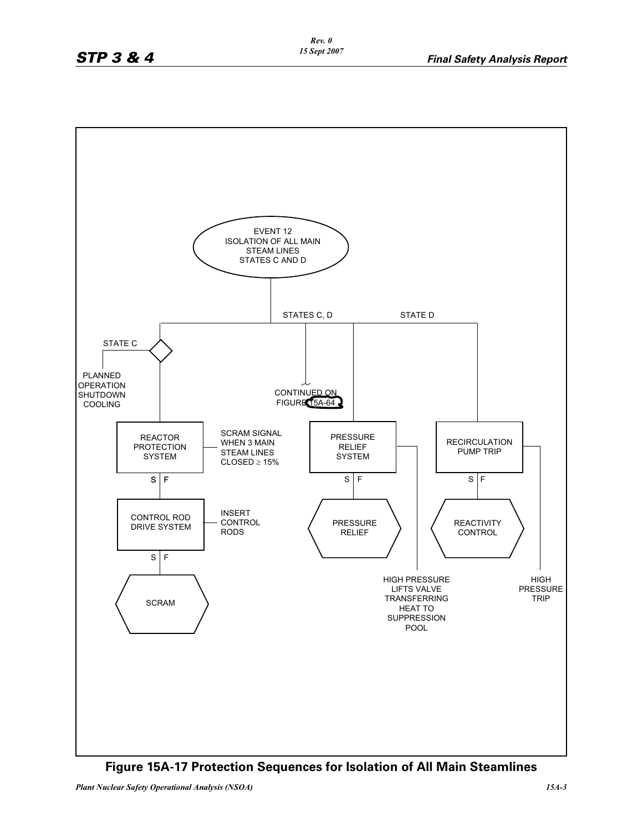

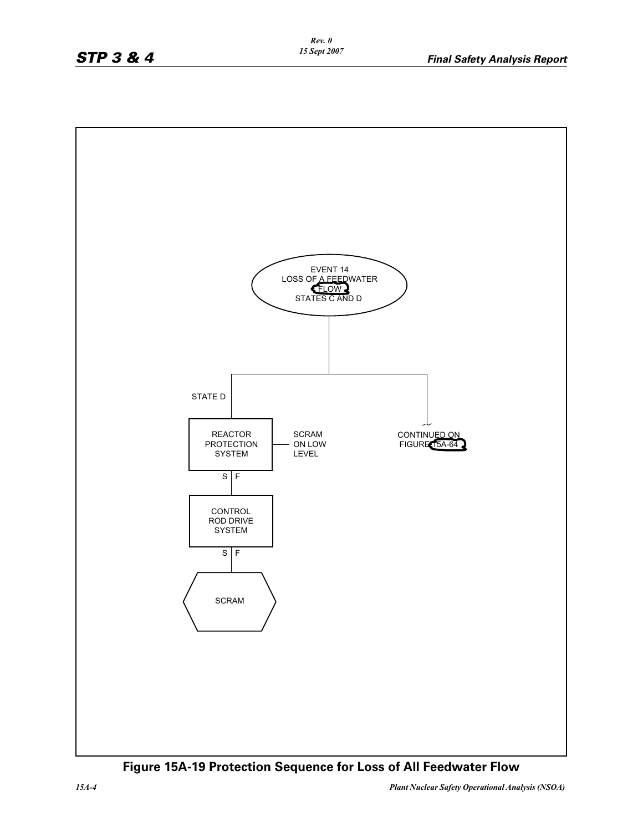

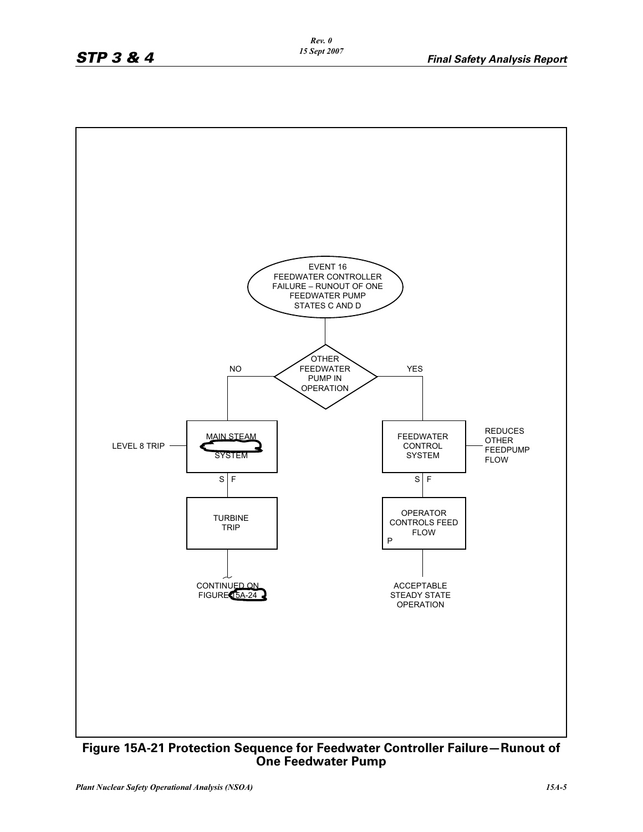

**Figure 15A-21 Protection Sequence for Feedwater Controller Failure—Runout of One Feedwater Pump**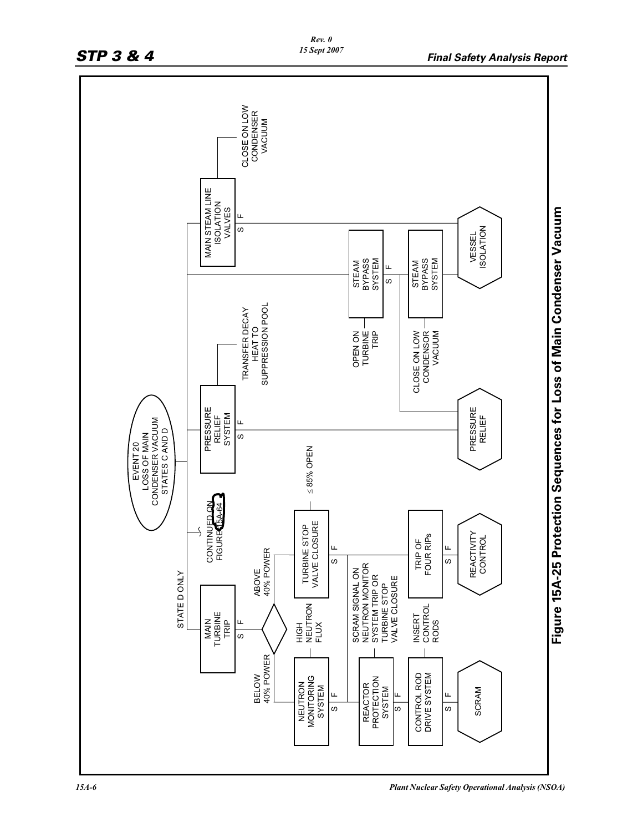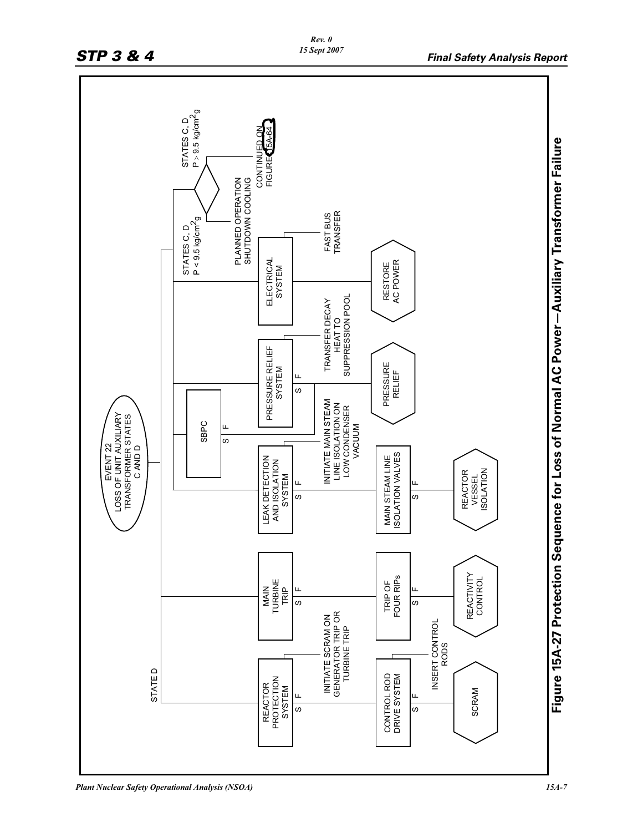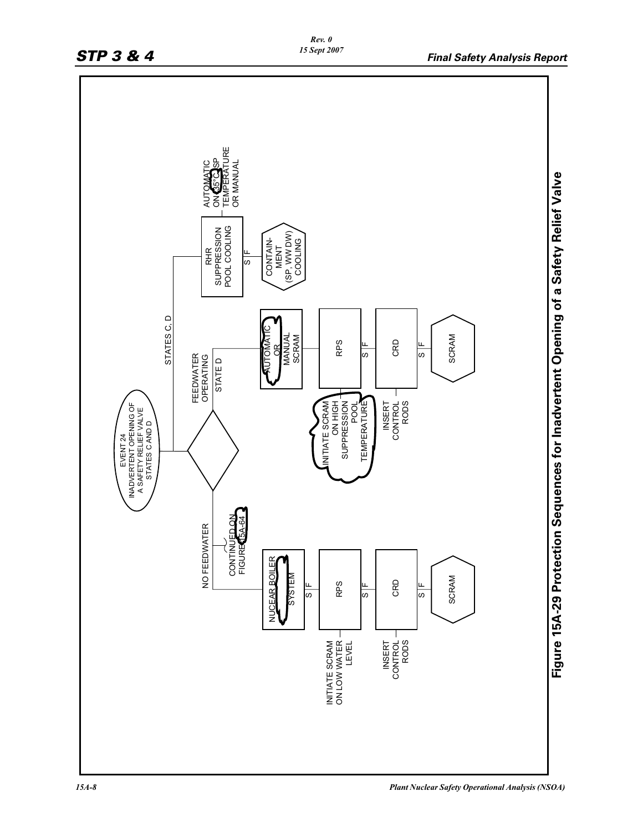

*15A-8 Plant Nuclear Safety Operational Analysis (NSOA)*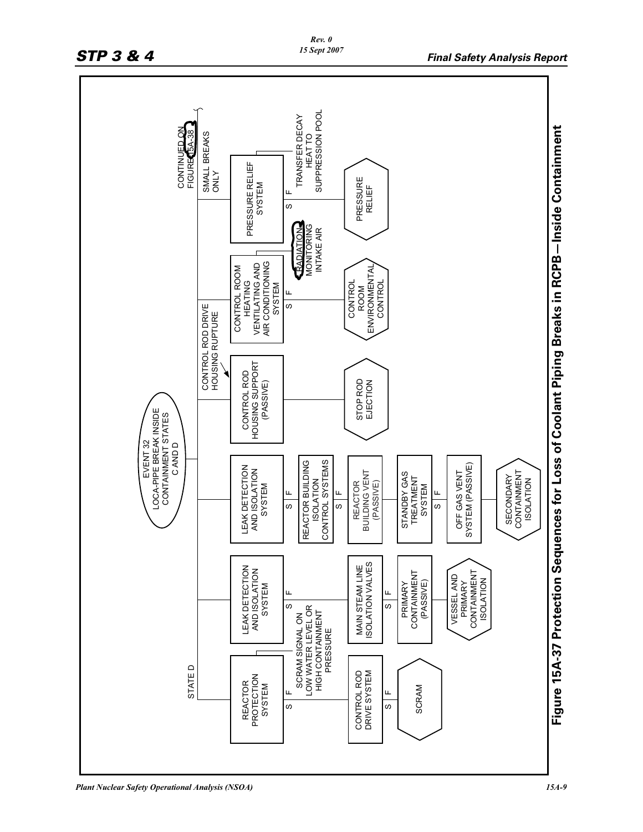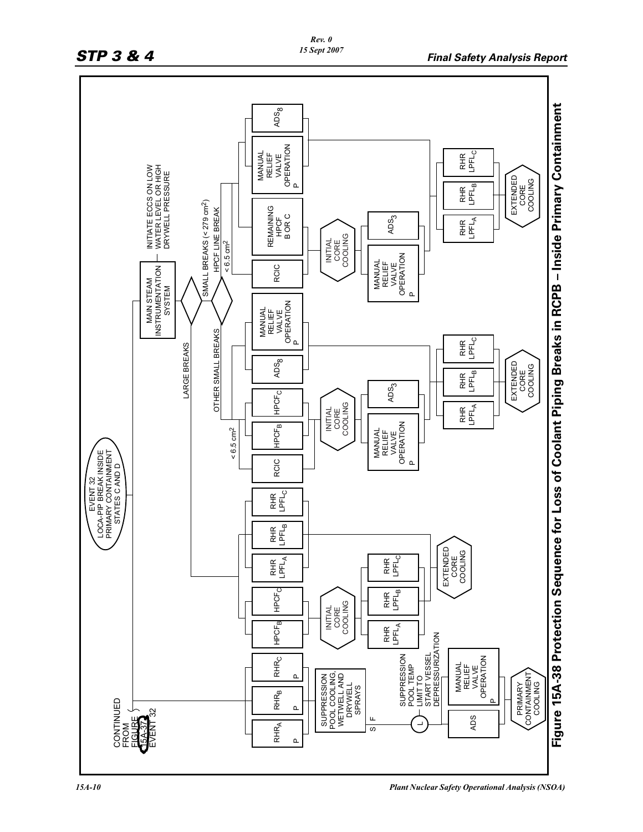

*15A-10 Plant Nuclear Safety Operational Analysis (NSOA)*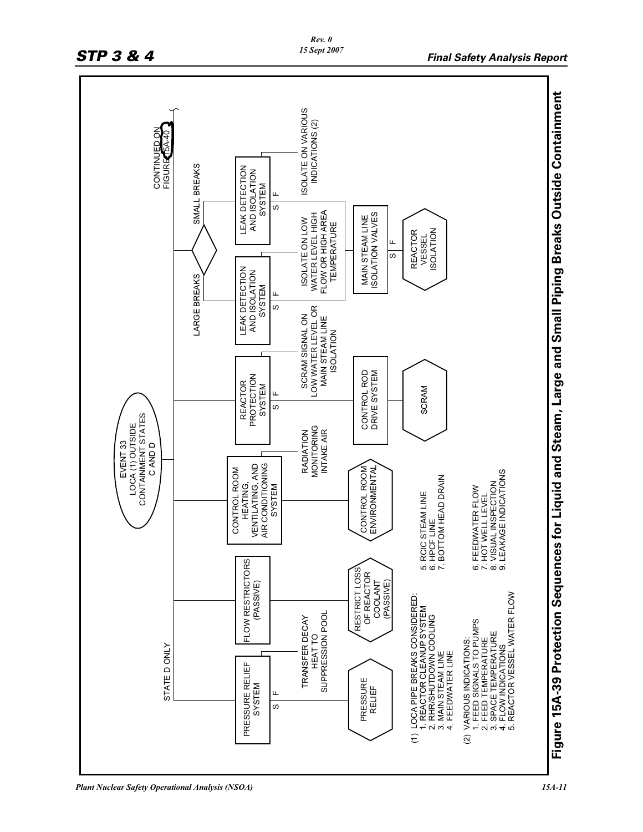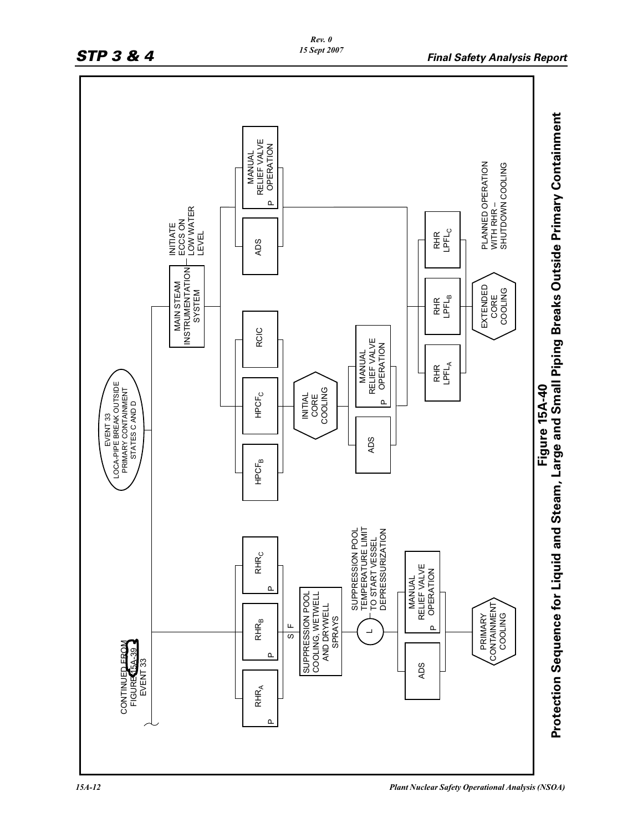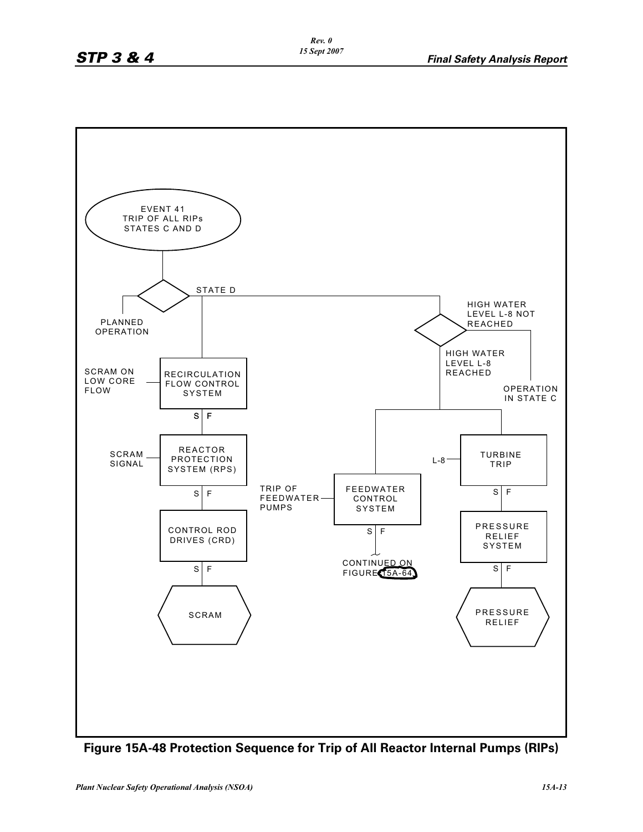

**Figure 15A-48 Protection Sequence for Trip of All Reactor Internal Pumps (RIPs)**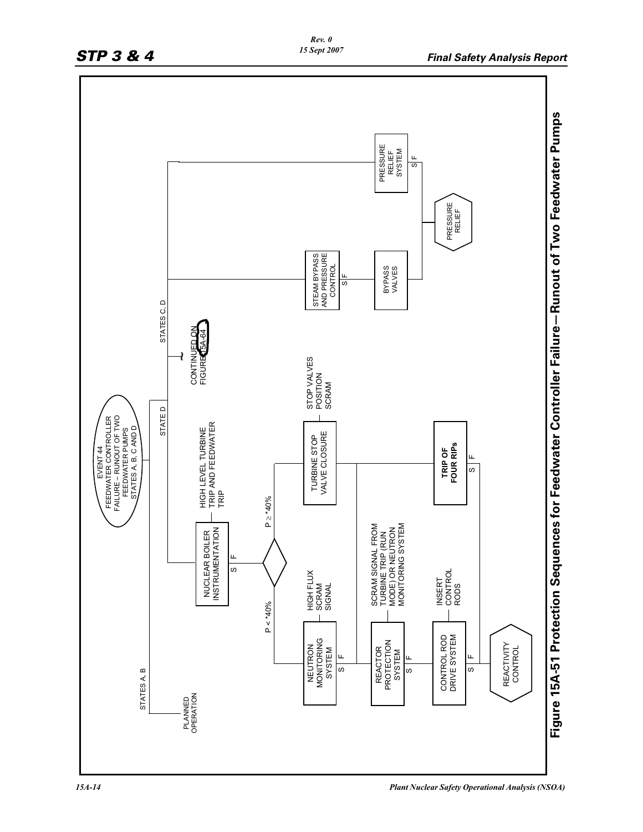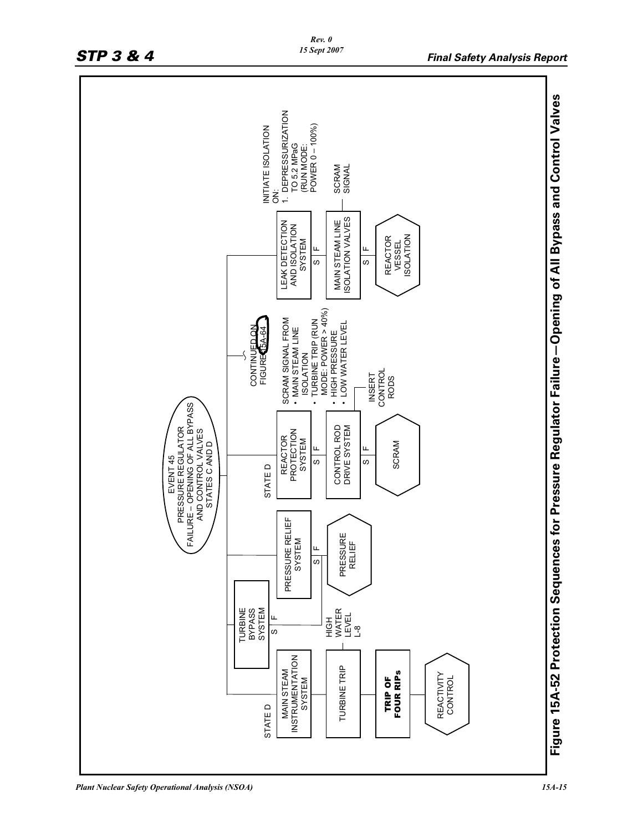

*Plant Nuclear Safety Operational Analysis (NSOA) 15A-15*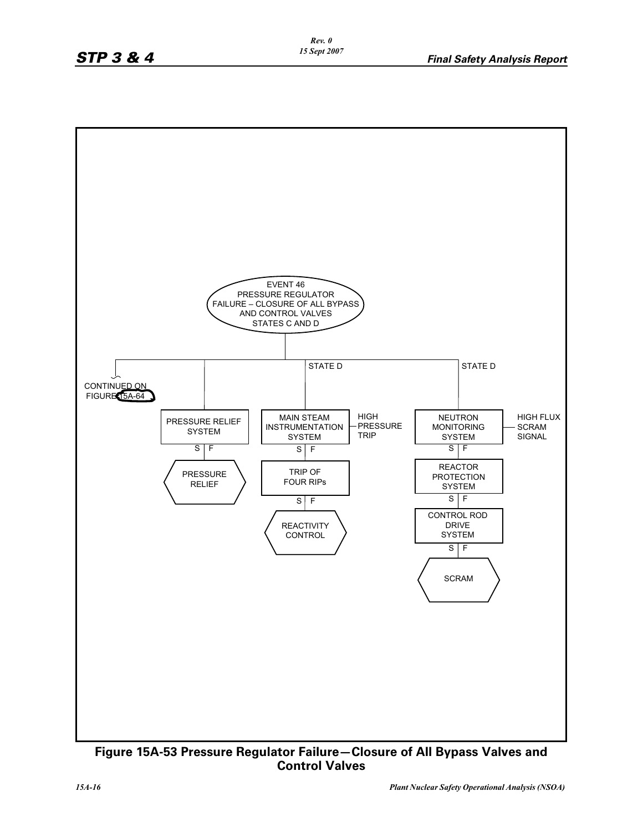

**Figure 15A-53 Pressure Regulator Failure—Closure of All Bypass Valves and Control Valves**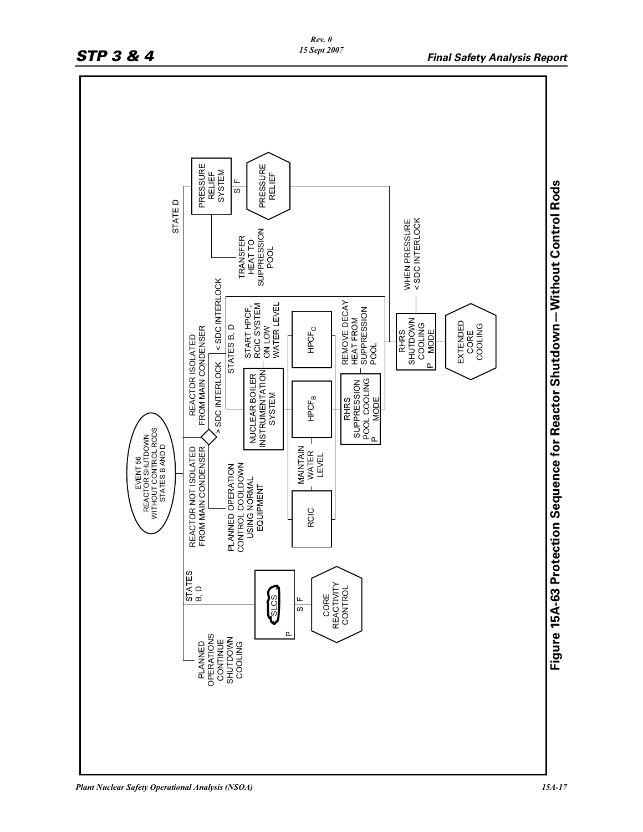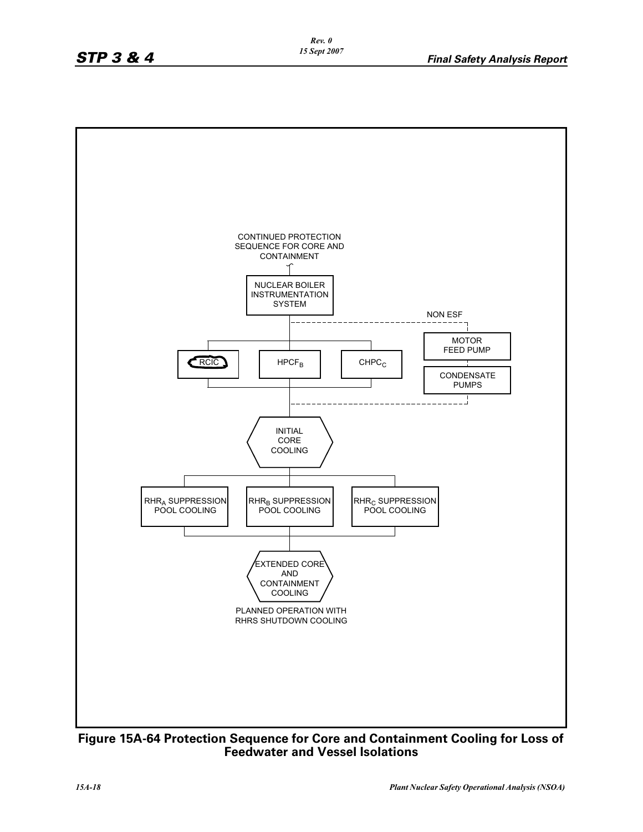

**Figure 15A-64 Protection Sequence for Core and Containment Cooling for Loss of Feedwater and Vessel Isolations**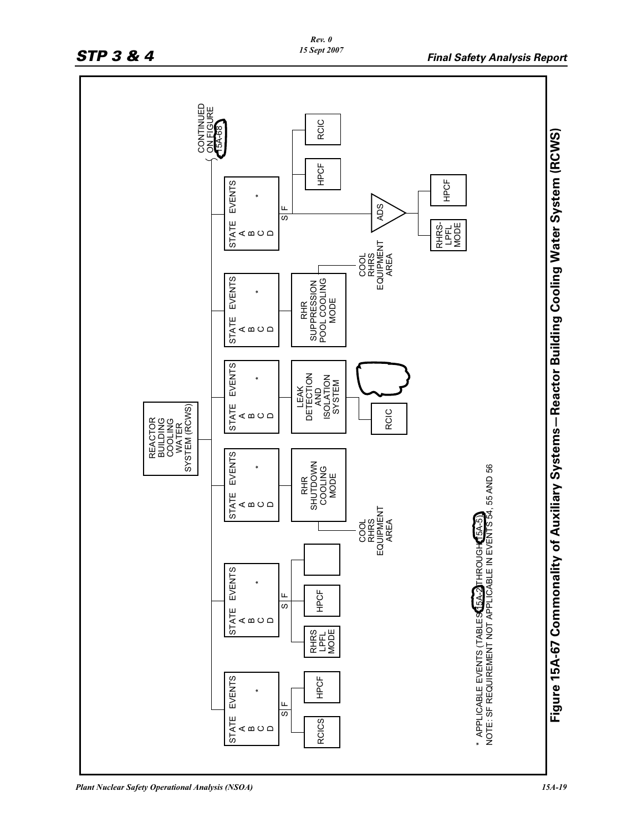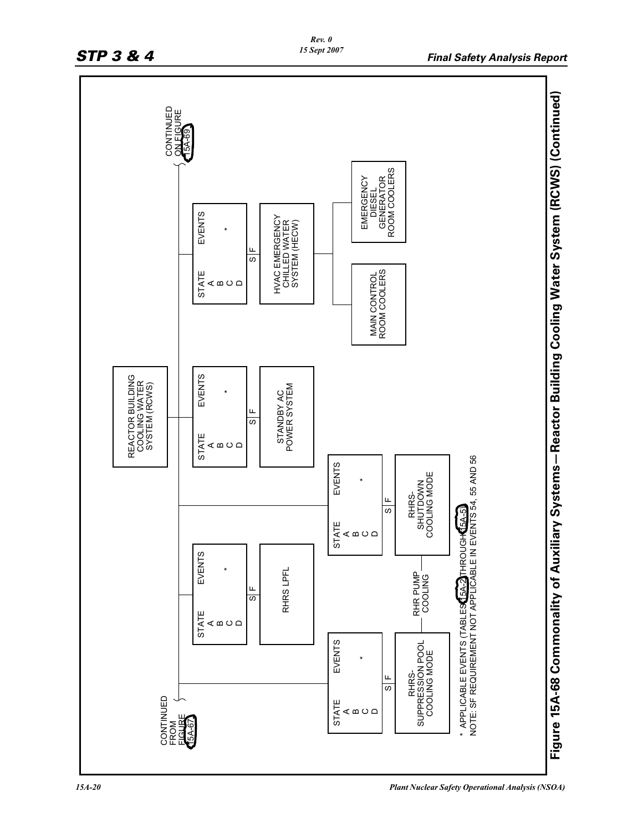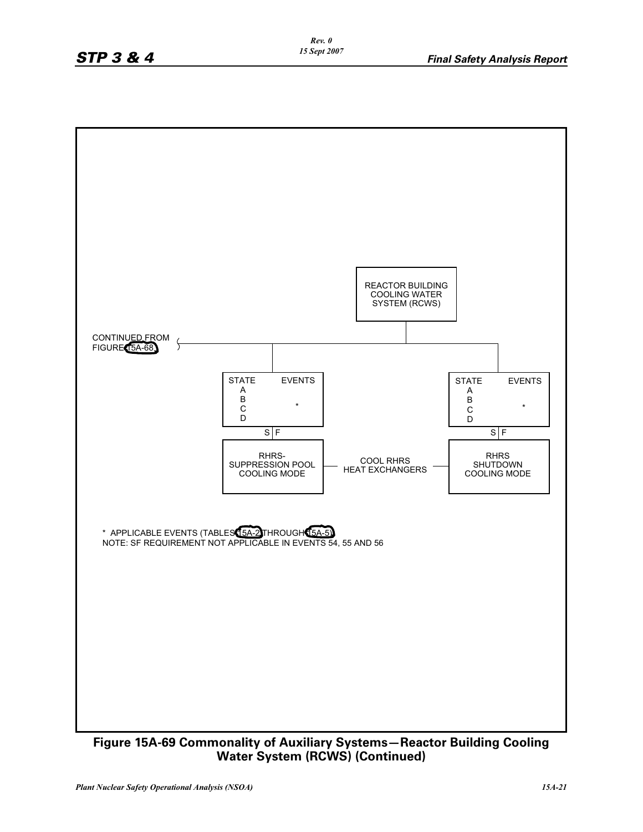

**Water System (RCWS) (Continued)**